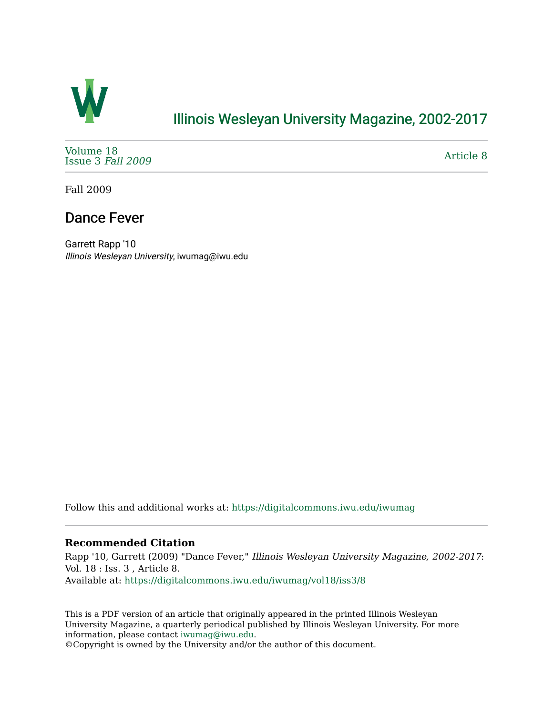

## [Illinois Wesleyan University Magazine, 2002-2017](https://digitalcommons.iwu.edu/iwumag)

[Volume 18](https://digitalcommons.iwu.edu/iwumag/vol18)  [Issue 3](https://digitalcommons.iwu.edu/iwumag/vol18/iss3) Fall 2009

[Article 8](https://digitalcommons.iwu.edu/iwumag/vol18/iss3/8) 

Fall 2009

### Dance Fever

Garrett Rapp '10 Illinois Wesleyan University, iwumag@iwu.edu

Follow this and additional works at: [https://digitalcommons.iwu.edu/iwumag](https://digitalcommons.iwu.edu/iwumag?utm_source=digitalcommons.iwu.edu%2Fiwumag%2Fvol18%2Fiss3%2F8&utm_medium=PDF&utm_campaign=PDFCoverPages) 

#### **Recommended Citation**

Rapp '10, Garrett (2009) "Dance Fever," Illinois Wesleyan University Magazine, 2002-2017: Vol. 18 : Iss. 3 , Article 8. Available at: [https://digitalcommons.iwu.edu/iwumag/vol18/iss3/8](https://digitalcommons.iwu.edu/iwumag/vol18/iss3/8?utm_source=digitalcommons.iwu.edu%2Fiwumag%2Fvol18%2Fiss3%2F8&utm_medium=PDF&utm_campaign=PDFCoverPages)

This is a PDF version of an article that originally appeared in the printed Illinois Wesleyan University Magazine, a quarterly periodical published by Illinois Wesleyan University. For more information, please contact [iwumag@iwu.edu](mailto:iwumag@iwu.edu).

©Copyright is owned by the University and/or the author of this document.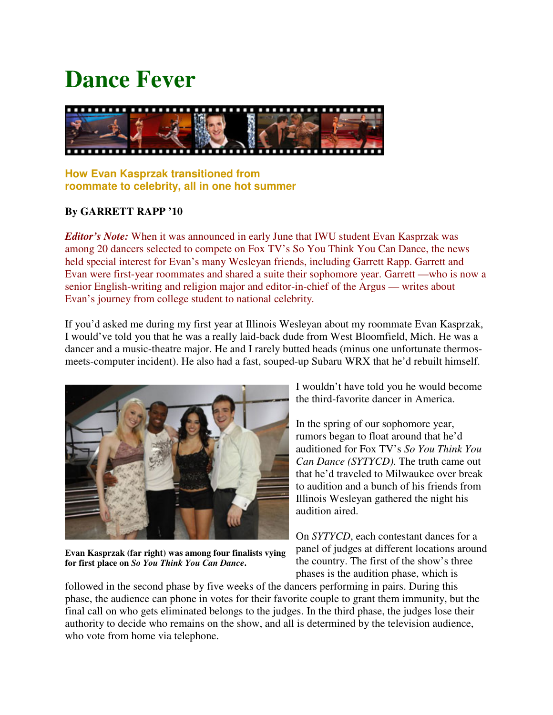# **Dance Fever**



### **How Evan Kasprzak transitioned from roommate to celebrity, all in one hot summer**

### **By GARRETT RAPP '10**

*Editor's Note:* When it was announced in early June that IWU student Evan Kasprzak was among 20 dancers selected to compete on Fox TV's So You Think You Can Dance, the news held special interest for Evan's many Wesleyan friends, including Garrett Rapp. Garrett and Evan were first-year roommates and shared a suite their sophomore year. Garrett —who is now a senior English-writing and religion major and editor-in-chief of the Argus — writes about Evan's journey from college student to national celebrity*.*

If you'd asked me during my first year at Illinois Wesleyan about my roommate Evan Kasprzak, I would've told you that he was a really laid-back dude from West Bloomfield, Mich. He was a dancer and a music-theatre major. He and I rarely butted heads (minus one unfortunate thermosmeets-computer incident). He also had a fast, souped-up Subaru WRX that he'd rebuilt himself.



**Evan Kasprzak (far right) was among four finalists vying for first place on** *So You Think You Can Dance***.**

I wouldn't have told you he would become the third-favorite dancer in America.

In the spring of our sophomore year, rumors began to float around that he'd auditioned for Fox TV's *So You Think You Can Dance (SYTYCD)*. The truth came out that he'd traveled to Milwaukee over break to audition and a bunch of his friends from Illinois Wesleyan gathered the night his audition aired.

On *SYTYCD*, each contestant dances for a panel of judges at different locations around the country. The first of the show's three phases is the audition phase, which is

followed in the second phase by five weeks of the dancers performing in pairs. During this phase, the audience can phone in votes for their favorite couple to grant them immunity, but the final call on who gets eliminated belongs to the judges. In the third phase, the judges lose their authority to decide who remains on the show, and all is determined by the television audience, who vote from home via telephone.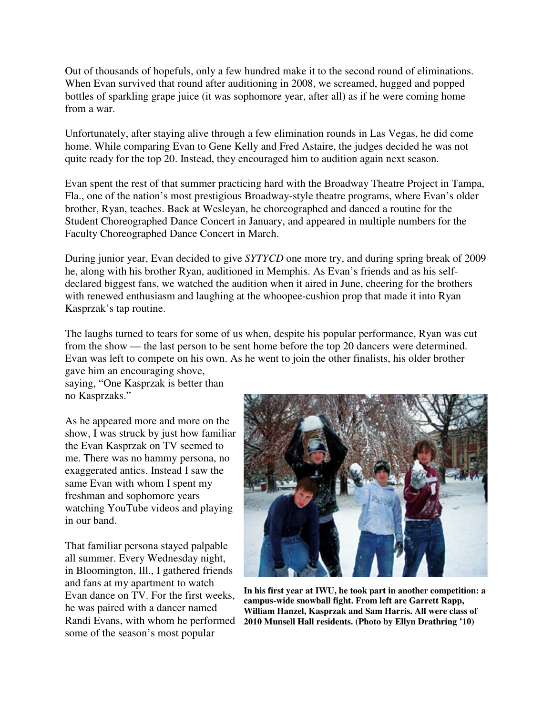Out of thousands of hopefuls, only a few hundred make it to the second round of eliminations. When Evan survived that round after auditioning in 2008, we screamed, hugged and popped bottles of sparkling grape juice (it was sophomore year, after all) as if he were coming home from a war.

Unfortunately, after staying alive through a few elimination rounds in Las Vegas, he did come home. While comparing Evan to Gene Kelly and Fred Astaire, the judges decided he was not quite ready for the top 20. Instead, they encouraged him to audition again next season.

Evan spent the rest of that summer practicing hard with the Broadway Theatre Project in Tampa, Fla., one of the nation's most prestigious Broadway-style theatre programs, where Evan's older brother, Ryan, teaches. Back at Wesleyan, he choreographed and danced a routine for the Student Choreographed Dance Concert in January, and appeared in multiple numbers for the Faculty Choreographed Dance Concert in March.

During junior year, Evan decided to give *SYTYCD* one more try, and during spring break of 2009 he, along with his brother Ryan, auditioned in Memphis. As Evan's friends and as his selfdeclared biggest fans, we watched the audition when it aired in June, cheering for the brothers with renewed enthusiasm and laughing at the whoopee-cushion prop that made it into Ryan Kasprzak's tap routine.

The laughs turned to tears for some of us when, despite his popular performance, Ryan was cut from the show — the last person to be sent home before the top 20 dancers were determined. Evan was left to compete on his own. As he went to join the other finalists, his older brother gave him an encouraging shove,

saying, "One Kasprzak is better than no Kasprzaks."

As he appeared more and more on the show, I was struck by just how familiar the Evan Kasprzak on TV seemed to me. There was no hammy persona, no exaggerated antics. Instead I saw the same Evan with whom I spent my freshman and sophomore years watching YouTube videos and playing in our band.

That familiar persona stayed palpable all summer. Every Wednesday night, in Bloomington, Ill., I gathered friends and fans at my apartment to watch Evan dance on TV. For the first weeks, he was paired with a dancer named Randi Evans, with whom he performed some of the season's most popular



**In his first year at IWU, he took part in another competition: a campus-wide snowball fight. From left are Garrett Rapp, William Hanzel, Kasprzak and Sam Harris. All were class of 2010 Munsell Hall residents. (Photo by Ellyn Drathring '10)**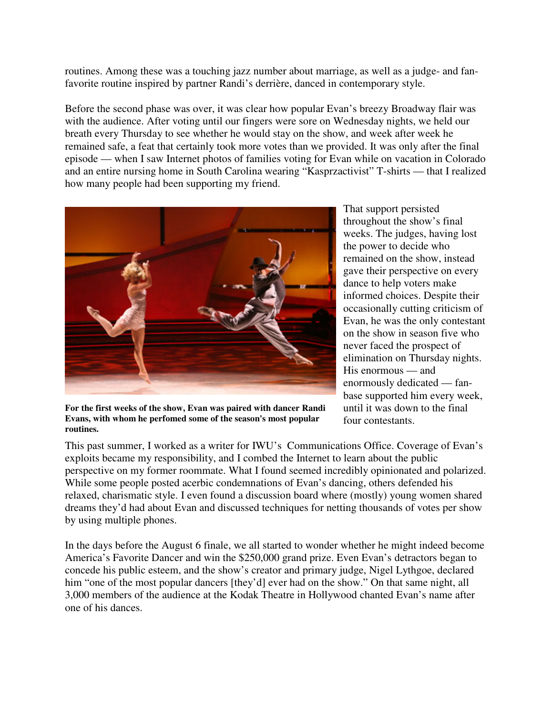routines. Among these was a touching jazz number about marriage, as well as a judge- and fanfavorite routine inspired by partner Randi's derrière, danced in contemporary style.

Before the second phase was over, it was clear how popular Evan's breezy Broadway flair was with the audience. After voting until our fingers were sore on Wednesday nights, we held our breath every Thursday to see whether he would stay on the show, and week after week he remained safe, a feat that certainly took more votes than we provided. It was only after the final episode — when I saw Internet photos of families voting for Evan while on vacation in Colorado and an entire nursing home in South Carolina wearing "Kasprzactivist" T-shirts — that I realized how many people had been supporting my friend.



**For the first weeks of the show, Evan was paired with dancer Randi Evans, with whom he perfomed some of the season's most popular routines.**

That support persisted throughout the show's final weeks. The judges, having lost the power to decide who remained on the show, instead gave their perspective on every dance to help voters make informed choices. Despite their occasionally cutting criticism of Evan, he was the only contestant on the show in season five who never faced the prospect of elimination on Thursday nights. His enormous — and enormously dedicated — fanbase supported him every week, until it was down to the final four contestants.

This past summer, I worked as a writer for IWU's Communications Office. Coverage of Evan's exploits became my responsibility, and I combed the Internet to learn about the public perspective on my former roommate. What I found seemed incredibly opinionated and polarized. While some people posted acerbic condemnations of Evan's dancing, others defended his relaxed, charismatic style. I even found a discussion board where (mostly) young women shared dreams they'd had about Evan and discussed techniques for netting thousands of votes per show by using multiple phones.

In the days before the August 6 finale, we all started to wonder whether he might indeed become America's Favorite Dancer and win the \$250,000 grand prize. Even Evan's detractors began to concede his public esteem, and the show's creator and primary judge, Nigel Lythgoe, declared him "one of the most popular dancers [they'd] ever had on the show." On that same night, all 3,000 members of the audience at the Kodak Theatre in Hollywood chanted Evan's name after one of his dances.